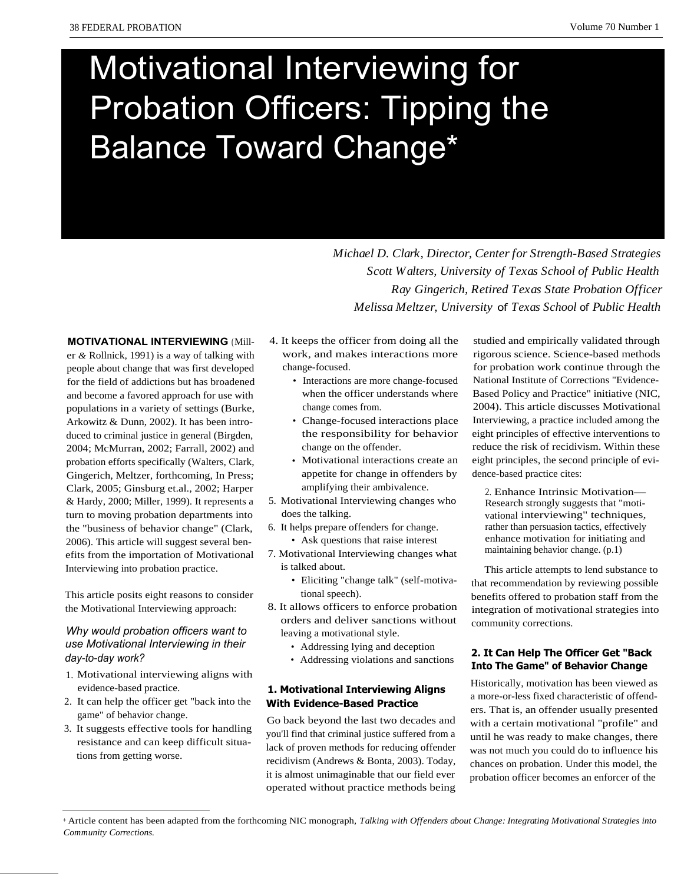# Motivational Interviewing for Probation Officers: Tipping the Balance Toward Change\*

*Michael D. Clark, Director, Center for Strength-Based Strategies Scott Walters, University of Texas School of Public Health Ray Gingerich, Retired Texas State Probation Officer Melissa Meltzer, University* of *Texas School* of *Public Health*

**MOTIVATIONAL INTERVIEWING** (Miller *&* Rollnick, 1991) is a way of talking with people about change that was first developed for the field of addictions but has broadened and become a favored approach for use with populations in a variety of settings (Burke, Arkowitz & Dunn, 2002). It has been introduced to criminal justice in general (Birgden, 2004; McMurran, 2002; Farrall, 2002) and probation efforts specifically (Walters, Clark, Gingerich, Meltzer, forthcoming, In Press; Clark, 2005; Ginsburg et.al., 2002; Harper & Hardy, 2000; Miller, 1999). It represents a turn to moving probation departments into the "business of behavior change" (Clark, 2006). This article will suggest several benefits from the importation of Motivational Interviewing into probation practice.

This article posits eight reasons to consider the Motivational Interviewing approach:

# *Why would probation officers want to use Motivational Interviewing in their day-to-day work?*

- 1. Motivational interviewing aligns with evidence-based practice.
- 2. It can help the officer get "back into the game" of behavior change.
- 3. It suggests effective tools for handling resistance and can keep difficult situations from getting worse.
- 4. It keeps the officer from doing all the work, and makes interactions more change-focused.
	- Interactions are more change-focused when the officer understands where change comes from.
	- Change-focused interactions place the responsibility for behavior change on the offender.
	- Motivational interactions create an appetite for change in offenders by amplifying their ambivalence.
- 5. Motivational Interviewing changes who does the talking.
- 6. It helps prepare offenders for change.
	- Ask questions that raise interest
- 7. Motivational Interviewing changes what is talked about.
	- Eliciting "change talk" (self-motivational speech).
- 8. It allows officers to enforce probation orders and deliver sanctions without leaving a motivational style.
	- Addressing lying and deception
	- Addressing violations and sanctions

# **1. Motivational Interviewing Aligns With Evidence-Based Practice**

Go back beyond the last two decades and you'll find that criminal justice suffered from a lack of proven methods for reducing offender recidivism (Andrews & Bonta, 2003). Today, it is almost unimaginable that our field ever operated without practice methods being

studied and empirically validated through rigorous science. Science-based methods for probation work continue through the National Institute of Corrections "Evidence-Based Policy and Practice" initiative (NIC, 2004). This article discusses Motivational Interviewing, a practice included among the eight principles of effective interventions to reduce the risk of recidivism. Within these eight principles, the second principle of evidence-based practice cites:

2. Enhance Intrinsic Motivation— Research strongly suggests that "motivational interviewing" techniques, rather than persuasion tactics, effectively enhance motivation for initiating and maintaining behavior change. (p.1)

This article attempts to lend substance to that recommendation by reviewing possible benefits offered to probation staff from the integration of motivational strategies into community corrections.

# **2. It Can Help The Officer Get "Back Into The Game" of Behavior Change**

Historically, motivation has been viewed as a more-or-less fixed characteristic of offenders. That is, an offender usually presented with a certain motivational "profile" and until he was ready to make changes, there was not much you could do to influence his chances on probation. Under this model, the probation officer becomes an enforcer of the

<sup>\*</sup> Article content has been adapted from the forthcoming NIC monograph, *Talking with Offenders about Change: Integrating Motivational Strategies into Community Corrections.*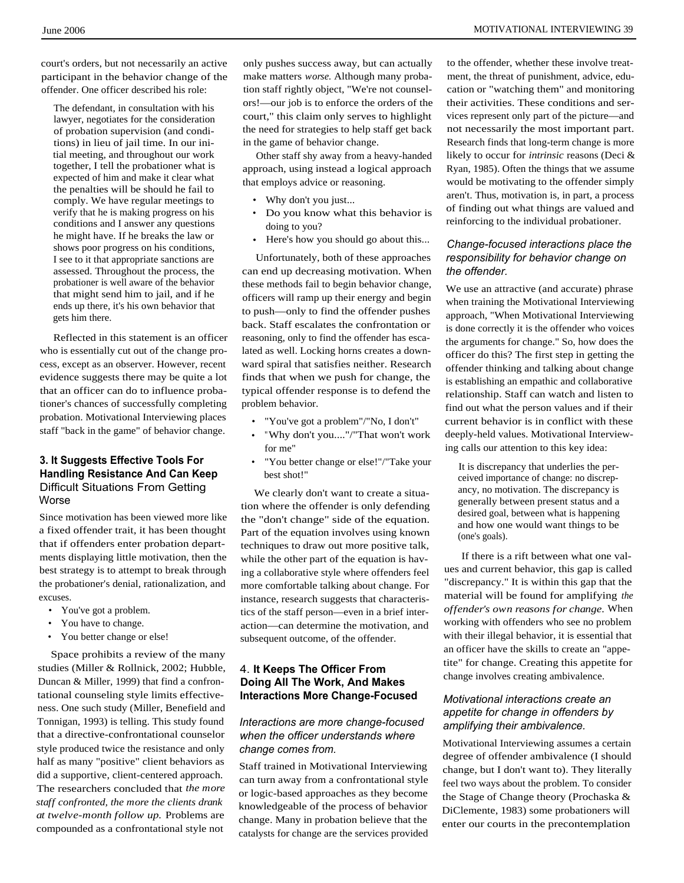court's orders, but not necessarily an active participant in the behavior change of the offender. One officer described his role:

The defendant, in consultation with his lawyer, negotiates for the consideration of probation supervision (and conditions) in lieu of jail time. In our initial meeting, and throughout our work together, I tell the probationer what is expected of him and make it clear what the penalties will be should he fail to comply. We have regular meetings to verify that he is making progress on his conditions and I answer any questions he might have. If he breaks the law or shows poor progress on his conditions, I see to it that appropriate sanctions are assessed. Throughout the process, the probationer is well aware of the behavior that might send him to jail, and if he ends up there, it's his own behavior that gets him there.

Reflected in this statement is an officer who is essentially cut out of the change process, except as an observer. However, recent evidence suggests there may be quite a lot that an officer can do to influence probationer's chances of successfully completing probation. Motivational Interviewing places staff "back in the game" of behavior change.

# **3. It Suggests Effective Tools For Handling Resistance And Can Keep** Difficult Situations From Getting Worse

Since motivation has been viewed more like a fixed offender trait, it has been thought that if offenders enter probation departments displaying little motivation, then the best strategy is to attempt to break through the probationer's denial, rationalization, and excuses.

- You've got a problem.
- You have to change.
- You better change or else!

Space prohibits a review of the many studies (Miller & Rollnick, 2002; Hubble, Duncan & Miller, 1999) that find a confrontational counseling style limits effectiveness. One such study (Miller, Benefield and Tonnigan, 1993) is telling. This study found that a directive-confrontational counselor style produced twice the resistance and only half as many "positive" client behaviors as did a supportive, client-centered approach. The researchers concluded that *the more staff confronted, the more the clients drank at twelve-month follow up.* Problems are compounded as a confrontational style not

only pushes success away, but can actually make matters *worse.* Although many probation staff rightly object, "We're not counselors!—our job is to enforce the orders of the court," this claim only serves to highlight the need for strategies to help staff get back in the game of behavior change.

Other staff shy away from a heavy-handed approach, using instead a logical approach that employs advice or reasoning.

- Why don't you just...
- Do you know what this behavior is doing to you?
- Here's how you should go about this...

Unfortunately, both of these approaches can end up decreasing motivation. When these methods fail to begin behavior change, officers will ramp up their energy and begin to push—only to find the offender pushes back. Staff escalates the confrontation or reasoning, only to find the offender has escalated as well. Locking horns creates a downward spiral that satisfies neither. Research finds that when we push for change, the typical offender response is to defend the problem behavior.

- "You've got a problem"/"No, I don't"
- "Why don't you...."/"That won't work for me"
- "You better change or else!"/"Take your best shot!"

We clearly don't want to create a situation where the offender is only defending the "don't change" side of the equation. Part of the equation involves using known techniques to draw out more positive talk, while the other part of the equation is having a collaborative style where offenders feel more comfortable talking about change. For instance, research suggests that characteristics of the staff person—even in a brief interaction—can determine the motivation, and subsequent outcome, of the offender.

# 4. **It Keeps The Officer From Doing All The Work, And Makes Interactions More Change-Focused**

## *Interactions are more change-focused when the officer understands where change comes from.*

Staff trained in Motivational Interviewing can turn away from a confrontational style or logic-based approaches as they become knowledgeable of the process of behavior change. Many in probation believe that the catalysts for change are the services provided to the offender, whether these involve treatment, the threat of punishment, advice, education or "watching them" and monitoring their activities. These conditions and services represent only part of the picture—and not necessarily the most important part. Research finds that long-term change is more likely to occur for *intrinsic* reasons (Deci & Ryan, 1985). Often the things that we assume would be motivating to the offender simply aren't. Thus, motivation is, in part, a process of finding out what things are valued and reinforcing to the individual probationer.

# *Change-focused interactions place the responsibility for behavior change on the offender.*

We use an attractive (and accurate) phrase when training the Motivational Interviewing approach, "When Motivational Interviewing is done correctly it is the offender who voices the arguments for change." So, how does the officer do this? The first step in getting the offender thinking and talking about change is establishing an empathic and collaborative relationship. Staff can watch and listen to find out what the person values and if their current behavior is in conflict with these deeply-held values. Motivational Interviewing calls our attention to this key idea:

It is discrepancy that underlies the perceived importance of change: no discrepancy, no motivation. The discrepancy is generally between present status and a desired goal, between what is happening and how one would want things to be (one's goals).

If there is a rift between what one values and current behavior, this gap is called "discrepancy." It is within this gap that the material will be found for amplifying *the offender's own reasons for change.* When working with offenders who see no problem with their illegal behavior, it is essential that an officer have the skills to create an "appetite" for change. Creating this appetite for change involves creating ambivalence.

# *Motivational interactions create an appetite for change in offenders by amplifying their ambivalence.*

Motivational Interviewing assumes a certain degree of offender ambivalence (I should change, but I don't want to). They literally feel two ways about the problem. To consider the Stage of Change theory (Prochaska & DiClemente, 1983) some probationers will enter our courts in the precontemplation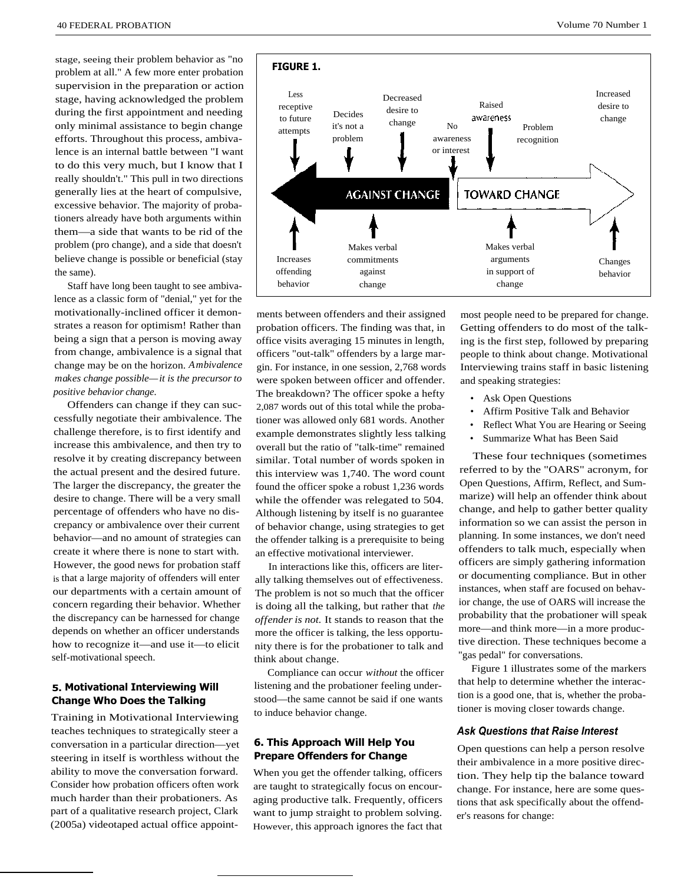stage, seeing their problem behavior as "no problem at all." A few more enter probation supervision in the preparation or action stage, having acknowledged the problem during the first appointment and needing only minimal assistance to begin change efforts. Throughout this process, ambivalence is an internal battle between "I want to do this very much, but I know that I really shouldn't." This pull in two directions generally lies at the heart of compulsive, excessive behavior. The majority of probationers already have both arguments within them—a side that wants to be rid of the problem (pro change), and a side that doesn't believe change is possible or beneficial (stay the same).

Staff have long been taught to see ambivalence as a classic form of "denial," yet for the motivationally-inclined officer it demonstrates a reason for optimism! Rather than being a sign that a person is moving away from change, ambivalence is a signal that change may be on the horizon. *Ambivalence makes change possible—it is the precursor to positive behavior change.*

Offenders can change if they can successfully negotiate their ambivalence. The challenge therefore, is to first identify and increase this ambivalence, and then try to resolve it by creating discrepancy between the actual present and the desired future. The larger the discrepancy, the greater the desire to change. There will be a very small percentage of offenders who have no discrepancy or ambivalence over their current behavior—and no amount of strategies can create it where there is none to start with. However, the good news for probation staff is that a large majority of offenders will enter our departments with a certain amount of concern regarding their behavior. Whether the discrepancy can be harnessed for change depends on whether an officer understands how to recognize it—and use it—to elicit self-motivational speech.

## **5. Motivational Interviewing Will Change Who Does the Talking**

Training in Motivational Interviewing teaches techniques to strategically steer a conversation in a particular direction—yet steering in itself is worthless without the ability to move the conversation forward. Consider how probation officers often work much harder than their probationers. As part of a qualitative research project, Clark (2005a) videotaped actual office appoint-



ments between offenders and their assigned probation officers. The finding was that, in office visits averaging 15 minutes in length, officers "out-talk" offenders by a large margin. For instance, in one session, 2,768 words were spoken between officer and offender. The breakdown? The officer spoke a hefty 2,087 words out of this total while the probationer was allowed only 681 words. Another example demonstrates slightly less talking overall but the ratio of "talk-time" remained similar. Total number of words spoken in this interview was 1,740. The word count found the officer spoke a robust 1,236 words while the offender was relegated to 504. Although listening by itself is no guarantee of behavior change, using strategies to get the offender talking is a prerequisite to being an effective motivational interviewer.

commitments against change

Increases offending behavior

In interactions like this, officers are literally talking themselves out of effectiveness. The problem is not so much that the officer is doing all the talking, but rather that *the offender is not.* It stands to reason that the more the officer is talking, the less opportunity there is for the probationer to talk and think about change.

Compliance can occur *without* the officer listening and the probationer feeling understood—the same cannot be said if one wants to induce behavior change.

## **6. This Approach Will Help You Prepare Offenders for Change**

When you get the offender talking, officers are taught to strategically focus on encouraging productive talk. Frequently, officers want to jump straight to problem solving. However, this approach ignores the fact that most people need to be prepared for change. Getting offenders to do most of the talking is the first step, followed by preparing people to think about change. Motivational Interviewing trains staff in basic listening and speaking strategies:

• Ask Open Questions

arguments in support of change

- Affirm Positive Talk and Behavior
- Reflect What You are Hearing or Seeing
- Summarize What has Been Said

These four techniques (sometimes referred to by the "OARS" acronym, for Open Questions, Affirm, Reflect, and Summarize) will help an offender think about change, and help to gather better quality information so we can assist the person in planning. In some instances, we don't need offenders to talk much, especially when officers are simply gathering information or documenting compliance. But in other instances, when staff are focused on behavior change, the use of OARS will increase the probability that the probationer will speak more—and think more—in a more productive direction. These techniques become a "gas pedal" for conversations.

Figure 1 illustrates some of the markers that help to determine whether the interaction is a good one, that is, whether the probationer is moving closer towards change.

#### *Ask Questions that Raise Interest*

Open questions can help a person resolve their ambivalence in a more positive direction. They help tip the balance toward change. For instance, here are some questions that ask specifically about the offender's reasons for change:

Changes behavior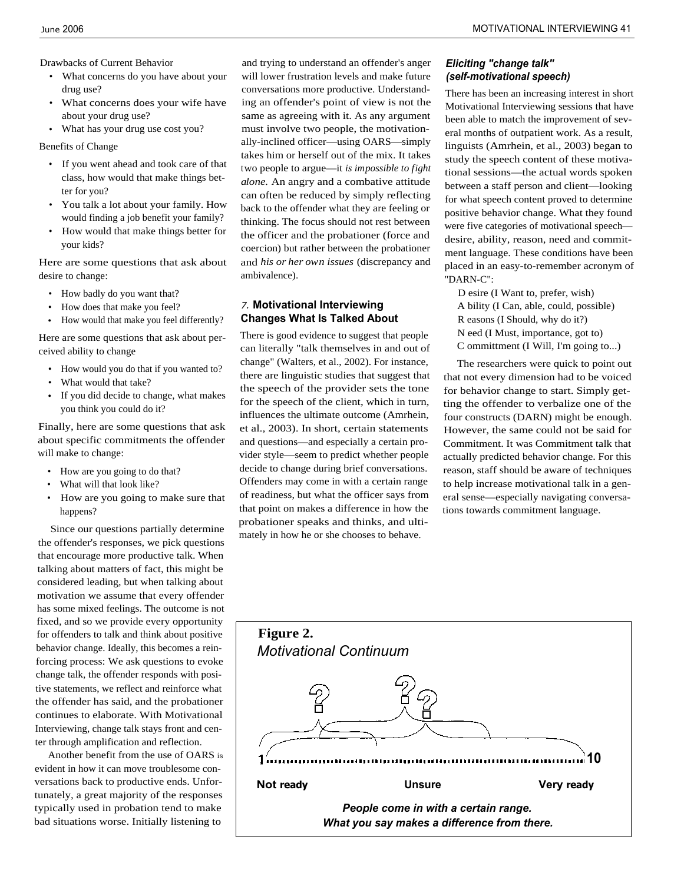Drawbacks of Current Behavior

- What concerns do you have about your drug use?
- What concerns does your wife have about your drug use?
- What has your drug use cost you?

Benefits of Change

- If you went ahead and took care of that class, how would that make things better for you?
- You talk a lot about your family. How would finding a job benefit your family?
- How would that make things better for your kids?

Here are some questions that ask about desire to change:

- How badly do you want that?
- How does that make you feel?
- How would that make you feel differently?

Here are some questions that ask about perceived ability to change

- How would you do that if you wanted to?
- What would that take?
- If you did decide to change, what makes you think you could do it?

Finally, here are some questions that ask about specific commitments the offender will make to change:

- How are you going to do that?
- What will that look like?
- How are you going to make sure that happens?

Since our questions partially determine the offender's responses, we pick questions that encourage more productive talk. When talking about matters of fact, this might be considered leading, but when talking about motivation we assume that every offender has some mixed feelings. The outcome is not fixed, and so we provide every opportunity for offenders to talk and think about positive behavior change. Ideally, this becomes a reinforcing process: We ask questions to evoke change talk, the offender responds with positive statements, we reflect and reinforce what the offender has said, and the probationer continues to elaborate. With Motivational Interviewing, change talk stays front and center through amplification and reflection.

Another benefit from the use of OARS is evident in how it can move troublesome conversations back to productive ends. Unfortunately, a great majority of the responses typically used in probation tend to make bad situations worse. Initially listening to

and trying to understand an offender's anger will lower frustration levels and make future conversations more productive. Understanding an offender's point of view is not the same as agreeing with it. As any argument must involve two people, the motivationally-inclined officer—using OARS—simply takes him or herself out of the mix. It takes two people to argue—it *is impossible to fight alone.* An angry and a combative attitude can often be reduced by simply reflecting back to the offender what they are feeling or thinking. The focus should not rest between the officer and the probationer (force and coercion) but rather between the probationer and *his or her own issues* (discrepancy and ambivalence).

## *7.* **Motivational Interviewing Changes What Is Talked About**

There is good evidence to suggest that people can literally "talk themselves in and out of change" (Walters, et al., 2002). For instance, there are linguistic studies that suggest that the speech of the provider sets the tone for the speech of the client, which in turn, influences the ultimate outcome (Amrhein, et al., 2003). In short, certain statements and questions—and especially a certain provider style—seem to predict whether people decide to change during brief conversations. Offenders may come in with a certain range of readiness, but what the officer says from that point on makes a difference in how the probationer speaks and thinks, and ultimately in how he or she chooses to behave.

# *Eliciting "change talk" (self-motivational speech)*

There has been an increasing interest in short Motivational Interviewing sessions that have been able to match the improvement of several months of outpatient work. As a result, linguists (Amrhein, et al., 2003) began to study the speech content of these motivational sessions—the actual words spoken between a staff person and client—looking for what speech content proved to determine positive behavior change. What they found were five categories of motivational speech desire, ability, reason, need and commitment language. These conditions have been placed in an easy-to-remember acronym of "DARN-C":

D esire (I Want to, prefer, wish) A bility (I Can, able, could, possible) R easons (I Should, why do it?) N eed (I Must, importance, got to) C ommittment (I Will, I'm going to...)

The researchers were quick to point out that not every dimension had to be voiced for behavior change to start. Simply getting the offender to verbalize one of the four constructs (DARN) might be enough. However, the same could not be said for Commitment. It was Commitment talk that actually predicted behavior change. For this reason, staff should be aware of techniques to help increase motivational talk in a general sense—especially navigating conversations towards commitment language.

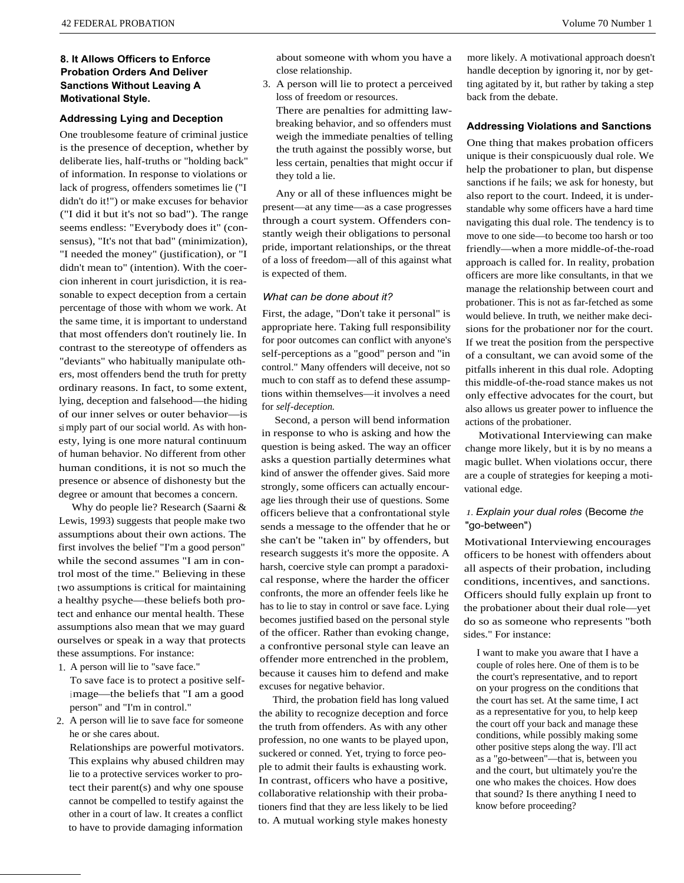## **8. It Allows Officers to Enforce Probation Orders And Deliver Sanctions Without Leaving A Motivational Style.**

#### **Addressing Lying and Deception**

One troublesome feature of criminal justice is the presence of deception, whether by deliberate lies, half-truths or "holding back" of information. In response to violations or lack of progress, offenders sometimes lie ("I didn't do it!") or make excuses for behavior ("I did it but it's not so bad"). The range seems endless: "Everybody does it" (consensus), "It's not that bad" (minimization), "I needed the money" (justification), or "I didn't mean to" (intention). With the coercion inherent in court jurisdiction, it is reasonable to expect deception from a certain percentage of those with whom we work. At the same time, it is important to understand that most offenders don't routinely lie. In contrast to the stereotype of offenders as "deviants" who habitually manipulate others, most offenders bend the truth for pretty ordinary reasons. In fact, to some extent, lying, deception and falsehood—the hiding of our inner selves or outer behavior—is si mply part of our social world. As with honesty, lying is one more natural continuum of human behavior. No different from other human conditions, it is not so much the presence or absence of dishonesty but the degree or amount that becomes a concern.

Why do people lie? Research (Saarni & Lewis, 1993) suggests that people make two assumptions about their own actions. The first involves the belief "I'm a good person" while the second assumes "I am in control most of the time." Believing in these two assumptions is critical for maintaining a healthy psyche—these beliefs both protect and enhance our mental health. These assumptions also mean that we may guard ourselves or speak in a way that protects these assumptions. For instance:

1. A person will lie to "save face."

To save face is to protect a positive self<sup>i</sup> mage—the beliefs that "I am a good person" and "I'm in control."

2. A person will lie to save face for someone he or she cares about.

Relationships are powerful motivators. This explains why abused children may lie to a protective services worker to protect their parent(s) and why one spouse cannot be compelled to testify against the other in a court of law. It creates a conflict to have to provide damaging information

about someone with whom you have a close relationship.

3. A person will lie to protect a perceived loss of freedom or resources.

There are penalties for admitting lawbreaking behavior, and so offenders must weigh the immediate penalties of telling the truth against the possibly worse, but less certain, penalties that might occur if they told a lie.

Any or all of these influences might be present—at any time—as a case progresses through a court system. Offenders constantly weigh their obligations to personal pride, important relationships, or the threat of a loss of freedom—all of this against what is expected of them.

#### *What can be done about it?*

First, the adage, "Don't take it personal" is appropriate here. Taking full responsibility for poor outcomes can conflict with anyone's self-perceptions as a "good" person and "in control." Many offenders will deceive, not so much to con staff as to defend these assumptions within themselves—it involves a need for *self-deception.*

Second, a person will bend information in response to who is asking and how the question is being asked. The way an officer asks a question partially determines what kind of answer the offender gives. Said more strongly, some officers can actually encourage lies through their use of questions. Some officers believe that a confrontational style sends a message to the offender that he or she can't be "taken in" by offenders, but research suggests it's more the opposite. A harsh, coercive style can prompt a paradoxical response, where the harder the officer confronts, the more an offender feels like he has to lie to stay in control or save face. Lying becomes justified based on the personal style of the officer. Rather than evoking change, a confrontive personal style can leave an offender more entrenched in the problem, because it causes him to defend and make excuses for negative behavior.

Third, the probation field has long valued the ability to recognize deception and force the truth from offenders. As with any other profession, no one wants to be played upon, suckered or conned. Yet, trying to force people to admit their faults is exhausting work. In contrast, officers who have a positive, collaborative relationship with their probationers find that they are less likely to be lied to. A mutual working style makes honesty

more likely. A motivational approach doesn't handle deception by ignoring it, nor by getting agitated by it, but rather by taking a step back from the debate.

#### **Addressing Violations and Sanctions**

One thing that makes probation officers unique is their conspicuously dual role. We help the probationer to plan, but dispense sanctions if he fails; we ask for honesty, but also report to the court. Indeed, it is understandable why some officers have a hard time navigating this dual role. The tendency is to move to one side—to become too harsh or too friendly—when a more middle-of-the-road approach is called for. In reality, probation officers are more like consultants, in that we manage the relationship between court and probationer. This is not as far-fetched as some would believe. In truth, we neither make decisions for the probationer nor for the court. If we treat the position from the perspective of a consultant, we can avoid some of the pitfalls inherent in this dual role. Adopting this middle-of-the-road stance makes us not only effective advocates for the court, but also allows us greater power to influence the actions of the probationer.

Motivational Interviewing can make change more likely, but it is by no means a magic bullet. When violations occur, there are a couple of strategies for keeping a motivational edge.

## *1. Explain your dual roles* (Become *the* "go-between")

Motivational Interviewing encourages officers to be honest with offenders about all aspects of their probation, including conditions, incentives, and sanctions. Officers should fully explain up front to the probationer about their dual role—yet do so as someone who represents "both sides." For instance:

I want to make you aware that I have a couple of roles here. One of them is to be the court's representative, and to report on your progress on the conditions that the court has set. At the same time, I act as a representative for you, to help keep the court off your back and manage these conditions, while possibly making some other positive steps along the way. I'll act as a "go-between"—that is, between you and the court, but ultimately you're the one who makes the choices. How does that sound? Is there anything I need to know before proceeding?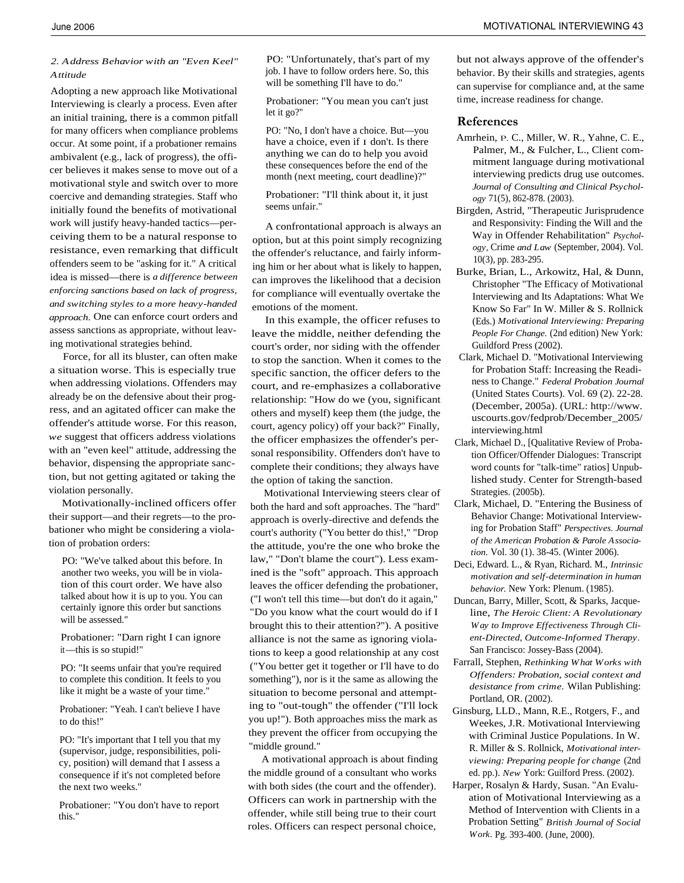#### *2. Address Behavior with an "Even Keel" Attitude*

Adopting a new approach like Motivational Interviewing is clearly a process. Even after an initial training, there is a common pitfall for many officers when compliance problems occur. At some point, if a probationer remains ambivalent (e.g., lack of progress), the officer believes it makes sense to move out of a motivational style and switch over to more coercive and demanding strategies. Staff who initially found the benefits of motivational work will justify heavy-handed tactics—perceiving them to be a natural response to resistance, even remarking that difficult offenders seem to be "asking for it." A critical idea is missed—there is *a difference between enforcing sanctions based on lack of progress, and switching styles to a more heavy-handed approach.* One can enforce court orders and assess sanctions as appropriate, without leaving motivational strategies behind.

Force, for all its bluster, can often make a situation worse. This is especially true when addressing violations. Offenders may already be on the defensive about their progress, and an agitated officer can make the offender's attitude worse. For this reason, *we* suggest that officers address violations with an "even keel" attitude, addressing the behavior, dispensing the appropriate sanction, but not getting agitated or taking the violation personally.

Motivationally-inclined officers offer their support—and their regrets—to the probationer who might be considering a violation of probation orders:

PO: "We've talked about this before. In another two weeks, you will be in violation of this court order. We have also talked about how it is up to you. You can certainly ignore this order but sanctions will be assessed."

Probationer: "Darn right I can ignore it—this is so stupid!"

PO: "It seems unfair that you're required to complete this condition. It feels to you like it might be a waste of your time."

Probationer: "Yeah. I can't believe I have to do this!"

PO: "It's important that I tell you that my (supervisor, judge, responsibilities, policy, position) will demand that I assess a consequence if it's not completed before the next two weeks."

Probationer: "You don't have to report this."

PO: "Unfortunately, that's part of my job. I have to follow orders here. So, this will be something I'll have to do."

Probationer: "You mean you can't just let it go?"

PO: "No, I don't have a choice. But—you have a choice, even if  $I$  don't. Is there anything we can do to help you avoid these consequences before the end of the month (next meeting, court deadline)?"

Probationer: "I'll think about it, it just seems unfair."

A confrontational approach is always an option, but at this point simply recognizing the offender's reluctance, and fairly informing him or her about what is likely to happen, can improves the likelihood that a decision for compliance will eventually overtake the emotions of the moment.

In this example, the officer refuses to leave the middle, neither defending the court's order, nor siding with the offender to stop the sanction. When it comes to the specific sanction, the officer defers to the court, and re-emphasizes a collaborative relationship: "How do we (you, significant others and myself) keep them (the judge, the court, agency policy) off your back?" Finally, the officer emphasizes the offender's personal responsibility. Offenders don't have to complete their conditions; they always have the option of taking the sanction.

Motivational Interviewing steers clear of both the hard and soft approaches. The "hard" approach is overly-directive and defends the court's authority ("You better do this!," "Drop the attitude, you're the one who broke the law," "Don't blame the court"). Less examined is the "soft" approach. This approach leaves the officer defending the probationer, ("I won't tell this time—but don't do it again," "Do you know what the court would do if I brought this to their attention?"). A positive alliance is not the same as ignoring violations to keep a good relationship at any cost ("You better get it together or I'll have to do something"), nor is it the same as allowing the situation to become personal and attempting to "out-tough" the offender ("I'll lock you up!"). Both approaches miss the mark as they prevent the officer from occupying the "middle ground."

A motivational approach is about finding the middle ground of a consultant who works with both sides (the court and the offender). Officers can work in partnership with the offender, while still being true to their court roles. Officers can respect personal choice,

but not always approve of the offender's behavior. By their skills and strategies, agents can supervise for compliance and, at the same time, increase readiness for change.

#### **References**

- Amrhein, P. C., Miller, W. R., Yahne, C. E., Palmer, M., & Fulcher, L., Client commitment language during motivational interviewing predicts drug use outcomes. *Journal of Consulting and Clinical Psychology* 71(5), 862-878. (2003).
- Birgden, Astrid, "Therapeutic Jurisprudence and Responsivity: Finding the Will and the Way in Offender Rehabilitation" *Psychology,* Crime *and Law* (September, 2004). Vol. 10(3), pp. 283-295.
- Burke, Brian, L., Arkowitz, Hal, & Dunn, Christopher "The Efficacy of Motivational Interviewing and Its Adaptations: What We Know So Far" In W. Miller & S. Rollnick (Eds.) *Motivational Interviewing: Preparing People For Change.* (2nd edition) New York: Guildford Press (2002).
- Clark, Michael D. "Motivational Interviewing for Probation Staff: Increasing the Readiness to Change." *Federal Probation Journal* (United States Courts). Vol. 69 (2). 22-28. (December, 2005a). (URL: http://www. uscourts.gov/fedprob/December\_2005/ interviewing.html
- Clark, Michael D., [Qualitative Review of Probation Officer/Offender Dialogues: Transcript word counts for "talk-time" ratios] Unpublished study. Center for Strength-based Strategies. (2005b).
- Clark, Michael, D. "Entering the Business of Behavior Change: Motivational Interviewing for Probation Staff" *Perspectives. Journal of the American Probation & Parole Association.* Vol. 30 (1). 38-45. (Winter 2006).
- Deci, Edward. L., & Ryan, Richard. M., *Intrinsic motivation and self-determination in human behavior.* New York: Plenum. (1985).
- Duncan, Barry, Miller, Scott, & Sparks, Jacqueline, *The Heroic Client: A Revolutionary Way to Improve Effectiveness Through Client-Directed, Outcome-Informed Therapy.* San Francisco: Jossey-Bass (2004).
- Farrall, Stephen, *Rethinking What Works with Offenders: Probation, social context and desistance from crime.* Wilan Publishing: Portland, OR. (2002).
- Ginsburg, LLD., Mann, R.E., Rotgers, F., and Weekes, J.R. Motivational Interviewing with Criminal Justice Populations. In W. R. Miller & S. Rollnick, *Motivational interviewing: Preparing people for change* (2nd ed. pp.). *New* York: Guilford Press. (2002).
- Harper, Rosalyn & Hardy, Susan. "An Evaluation of Motivational Interviewing as a Method of Intervention with Clients in a Probation Setting" *British Journal of Social Work.* Pg. 393-400. (June, 2000).